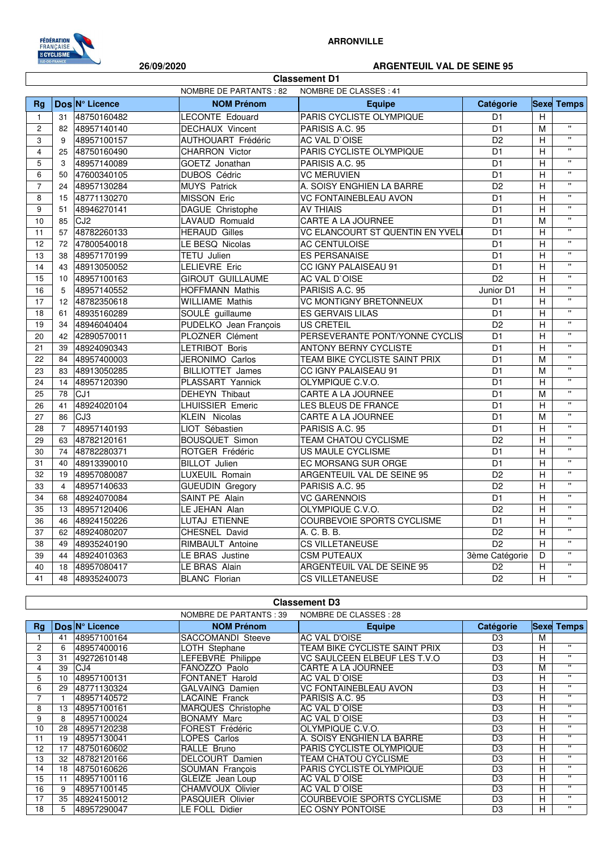

## **ARRONVILLE**

## **26/09/2020 ARGENTEUIL VAL DE SEINE 95**

٦

|                                                         | <b>Classement D1</b> |                 |                           |                                   |                 |                |                           |  |
|---------------------------------------------------------|----------------------|-----------------|---------------------------|-----------------------------------|-----------------|----------------|---------------------------|--|
| <b>NOMBRE DE PARTANTS: 82</b><br>NOMBRE DE CLASSES : 41 |                      |                 |                           |                                   |                 |                |                           |  |
| Rg                                                      |                      | Dos N° Licence  | <b>NOM Prénom</b>         | <b>Equipe</b>                     | Catégorie       | <b>Sexe</b>    | <b>Temps</b>              |  |
| $\mathbf{1}$                                            | 31                   | 48750160482     | <b>LECONTE Edouard</b>    | PARIS CYCLISTE OLYMPIQUE          | D <sub>1</sub>  | H              |                           |  |
| $\overline{2}$                                          | 82                   | 48957140140     | <b>DECHAUX Vincent</b>    | PARISIS A.C. 95                   | D <sub>1</sub>  | M              | $\mathbf{u}$              |  |
| 3                                                       | 9                    | 48957100157     | <b>AUTHOUART Frédéric</b> | AC VAL D'OISE                     | D <sub>2</sub>  | $\overline{H}$ | $\mathbf{u}$              |  |
| $\overline{\mathbf{4}}$                                 | 25                   | 48750160490     | <b>CHARRON Victor</b>     | PARIS CYCLISTE OLYMPIQUE          | D <sub>1</sub>  | H              | $\overline{u}$            |  |
| 5                                                       | 3                    | 48957140089     | GOETZ Jonathan            | PARISIS A.C. 95                   | D <sub>1</sub>  | H              | $\mathbf{u}$              |  |
| 6                                                       | 50                   | 47600340105     | <b>DUBOS Cédric</b>       | <b>VC MERUVIEN</b>                | $\overline{D1}$ | $\overline{H}$ | $\mathbf{u}$              |  |
| $\overline{7}$                                          | 24                   | 48957130284     | <b>MUYS Patrick</b>       | A. SOISY ENGHIEN LA BARRE         | D <sub>2</sub>  | H              | $\mathbf{u}$              |  |
| 8                                                       | 15                   | 48771130270     | <b>MISSON Eric</b>        | <b>VC FONTAINEBLEAU AVON</b>      | D <sub>1</sub>  | н              | $\overline{u}$            |  |
| 9                                                       | 51                   | 48946270141     | DAGUE Christophe          | <b>AV THIAIS</b>                  | $\overline{D1}$ | H              | $\mathbf{u}$              |  |
| 10                                                      | 85                   | CJ2             | LAVAUD Romuald            | <b>CARTE A LA JOURNEE</b>         | D <sub>1</sub>  | M              | $\mathbf{u}$              |  |
| 11                                                      | 57                   | 48782260133     | <b>HERAUD Gilles</b>      | VC ELANCOURT ST QUENTIN EN YVELI  | D <sub>1</sub>  | н              | $\mathbf{u}$              |  |
| 12                                                      | 72                   | 47800540018     | LE BESQ Nicolas           | AC CENTULOISE                     | $\overline{D1}$ | H              | $\bar{\mathbf{u}}$        |  |
| 13                                                      | 38                   | 48957170199     | <b>TETU Julien</b>        | <b>ES PERSANAISE</b>              | D <sub>1</sub>  | $\overline{H}$ | $\mathbf{u}$              |  |
| 14                                                      | 43                   | 48913050052     | LELIEVRE Eric             | CC IGNY PALAISEAU 91              | D <sub>1</sub>  | H              | $\mathbf{u}$              |  |
| 15                                                      | 10 <sup>10</sup>     | 48957100163     | <b>GIROUT GUILLAUME</b>   | AC VAL D'OISE                     | $\overline{D2}$ | H              | $\overline{u}$            |  |
| 16                                                      | 5                    | 48957140552     | <b>HOFFMANN Mathis</b>    | PARISIS A.C. 95                   | Junior D1       | H              | $\overline{\mathbf{u}}$   |  |
| 17                                                      | 12                   | 48782350618     | <b>WILLIAME Mathis</b>    | <b>VC MONTIGNY BRETONNEUX</b>     | D <sub>1</sub>  | H              | $\boldsymbol{\mathsf{H}}$ |  |
| 18                                                      | 61                   | 48935160289     | SOULÉ guillaume           | <b>ES GERVAIS LILAS</b>           | D <sub>1</sub>  | H              | $\mathbf{u}$              |  |
| 19                                                      | 34                   | 48946040404     | PUDELKO Jean François     | <b>US CRETEIL</b>                 | $\overline{D2}$ | H              | $\mathbf{u}$              |  |
| 20                                                      | 42                   | 42890570011     | PLOZNER Clément           | PERSEVERANTE PONT/YONNE CYCLIS    | $\overline{D1}$ | H              | $\mathbf{u}$              |  |
| 21                                                      | 39                   | 48924090343     | <b>LETRIBOT Boris</b>     | <b>ANTONY BERNY CYCLISTE</b>      | D <sub>1</sub>  | H              | $\overline{u}$            |  |
| 22                                                      | 84                   | 48957400003     | JERONIMO Carlos           | TEAM BIKE CYCLISTE SAINT PRIX     | D <sub>1</sub>  | M              | $\pmb{\mathsf{u}}$        |  |
| 23                                                      | 83                   | 48913050285     | <b>BILLIOTTET James</b>   | CC IGNY PALAISEAU 91              | D <sub>1</sub>  | M              | $\overline{\mathbf{u}}$   |  |
| 24                                                      | 14                   | 48957120390     | PLASSART Yannick          | OLYMPIQUE C.V.O.                  | D <sub>1</sub>  | Н              | $\mathbf{u}$              |  |
| 25                                                      | 78                   | CJ <sub>1</sub> | <b>DEHEYN Thibaut</b>     | <b>CARTE A LA JOURNEE</b>         | D <sub>1</sub>  | M              | $\mathbf{u}$              |  |
| 26                                                      | 41                   | 48924020104     | <b>LHUISSIER Emeric</b>   | LES BLEUS DE FRANCE               | $\overline{D1}$ | $\overline{H}$ | $\overline{\mathbf{u}}$   |  |
| 27                                                      | 86                   | CJ3             | <b>KLEIN Nicolas</b>      | <b>CARTE A LA JOURNEE</b>         | D <sub>1</sub>  | M              | $\mathbf{u}$              |  |
| 28                                                      | $\overline{7}$       | 48957140193     | LIOT Sébastien            | PARISIS A.C. 95                   | D <sub>1</sub>  | Н              | $\boldsymbol{\mathsf{H}}$ |  |
| 29                                                      | 63                   | 48782120161     | <b>BOUSQUET Simon</b>     | TEAM CHATOU CYCLISME              | D <sub>2</sub>  | H              | $\bar{\mathbf{u}}$        |  |
| 30                                                      | 74                   | 48782280371     | ROTGER Frédéric           | <b>US MAULE CYCLISME</b>          | D <sub>1</sub>  | H              | $\overline{\mathbf{u}}$   |  |
| 31                                                      | 40                   | 48913390010     | <b>BILLOT</b> Julien      | EC MORSANG SUR ORGE               | D <sub>1</sub>  | H              | $\mathbf{H}$              |  |
| 32                                                      | 19                   | 48957080087     | <b>LUXEUIL Romain</b>     | ARGENTEUIL VAL DE SEINE 95        | D <sub>2</sub>  | H              | $\overline{\mathbf{u}}$   |  |
| 33                                                      | $\overline{4}$       | 48957140633     | <b>GUEUDIN Gregory</b>    | PARISIS A.C. 95                   | $\overline{D2}$ | н              | $\overline{\mathbf{u}}$   |  |
| 34                                                      | 68                   | 48924070084     | SAINT PE Alain            | <b>VC GARENNOIS</b>               | D <sub>1</sub>  | H              | $\mathbf{u}$              |  |
| 35                                                      | 13                   | 48957120406     | LE JEHAN Alan             | OLYMPIQUE C.V.O.                  | D <sub>2</sub>  | H              | $\overline{u}$            |  |
| 36                                                      | 46                   | 48924150226     | <b>LUTAJ ETIENNE</b>      | <b>COURBEVOIE SPORTS CYCLISME</b> | D <sub>1</sub>  | H              | $\mathbf{u}$              |  |
| 37                                                      | 62                   | 48924080207     | CHESNEL David             | A. C. B. B.                       | D2              | $\overline{H}$ | $\overline{\mathbf{u}}$   |  |
| 38                                                      | 49                   | 48935240190     | RIMBAULT Antoine          | <b>CS VILLETANEUSE</b>            | D2              | H              | $\mathbf{u}$              |  |
| 39                                                      | 44                   | 48924010363     | LE BRAS Justine           | <b>CSM PUTEAUX</b>                | 3ème Catégorie  | D              | $\mathbf{u}$              |  |
| 40                                                      | 18                   | 48957080417     | LE BRAS Alain             | ARGENTEUIL VAL DE SEINE 95        | D <sub>2</sub>  | $\overline{H}$ | $\overline{\mathbf{u}}$   |  |
| 41                                                      | 48                   | 48935240073     | <b>BLANC Florian</b>      | <b>CS VILLETANEUSE</b>            | D <sub>2</sub>  | H              | $\mathbf{u}$              |  |

| <b>Classement D3</b> |                                                   |                |                         |                                   |                |   |                   |
|----------------------|---------------------------------------------------|----------------|-------------------------|-----------------------------------|----------------|---|-------------------|
|                      | NOMBRE DE CLASSES : 28<br>NOMBRE DE PARTANTS : 39 |                |                         |                                   |                |   |                   |
| Rg                   |                                                   | Dos N° Licence | <b>NOM Prénom</b>       | <b>Equipe</b>                     | Catégorie      |   | <b>Sexe Temps</b> |
|                      | 41                                                | 48957100164    | SACCOMANDI Steeve       | AC VAL D'OISE                     | D <sub>3</sub> | м |                   |
| 2                    | 6                                                 | 48957400016    | LOTH Stephane           | TEAM BIKE CYCLISTE SAINT PRIX     | D <sub>3</sub> | н | $\mathbf{H}$      |
| 3                    | 31                                                | 49272610148    | LEFEBVRE Philippe       | VC SAULCEEN ELBEUF LES T.V.O      | D <sub>3</sub> | н | $\mathbf{H}$      |
| 4                    | 39                                                | CJ4            | FANOZZO Paolo           | <b>CARTE A LA JOURNEE</b>         | D <sub>3</sub> | М | $\mathbf{H}$      |
| 5                    | 10                                                | 48957100131    | <b>FONTANET Harold</b>  | AC VAL D'OISE                     | D <sub>3</sub> | н | $\mathbf{H}$      |
| 6                    | 29                                                | 48771130324    | <b>GALVAING Damien</b>  | VC FONTAINEBLEAU AVON             | D <sub>3</sub> | н | $\mathbf{H}$      |
|                      |                                                   | 48957140572    | LACAINE Franck          | PARISIS A.C. 95                   | D <sub>3</sub> | н | $\mathbf{H}$      |
| 8                    | 13                                                | 48957100161    | MARQUES Christophe      | AC VAL D'OISE                     | D <sub>3</sub> | н | $\mathbf{H}$      |
| 9                    | 8                                                 | 48957100024    | <b>BONAMY Marc</b>      | AC VAL D'OISE                     | D <sub>3</sub> | н | $\mathbf{H}$      |
| 10                   | 28                                                | 48957120238    | FOREST Frédéric         | OLYMPIQUE C.V.O.                  | D <sub>3</sub> | н | $\bullet$         |
| 11                   | 19                                                | 48957130041    | LOPES Carlos            | A. SOISY ENGHIEN LA BARRE         | D <sub>3</sub> | н | $\mathbf{H}$      |
| 12                   | 17                                                | 48750160602    | RALLE Bruno             | PARIS CYCLISTE OLYMPIQUE          | D <sub>3</sub> | н | $\mathbf{H}$      |
| 13                   | 32                                                | 48782120166    | <b>DELCOURT</b> Damien  | TEAM CHATOU CYCLISME              | D <sub>3</sub> | Н | $\bullet$         |
| 14                   | 18                                                | 48750160626    | SOUMAN François         | PARIS CYCLISTE OLYMPIQUE          | D <sub>3</sub> | н | $\mathbf{H}$      |
| 15                   | 11                                                | 48957100116    | GLEIZE Jean Loup        | AC VAL D'OISE                     | D <sub>3</sub> | н | $\mathbf{H}$      |
| 16                   | 9                                                 | 48957100145    | CHAMVOUX Olivier        | AC VAL D'OISE                     | D <sub>3</sub> | н | $\mathbf{H}$      |
| 17                   | 35                                                | 48924150012    | <b>PASQUIER Olivier</b> | <b>COURBEVOIE SPORTS CYCLISME</b> | D <sub>3</sub> | н | $\mathbf{H}$      |
| 18                   | 5.                                                | 48957290047    | LE FOLL Didier          | EC OSNY PONTOISE                  | D <sub>3</sub> | н | $\mathbf{H}$      |